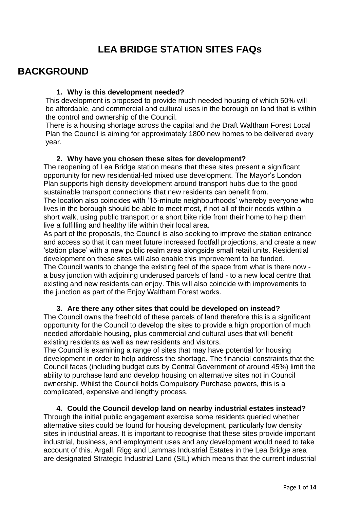# **LEA BRIDGE STATION SITES FAQs**

# **BACKGROUND**

## **1. Why is this development needed?**

This development is proposed to provide much needed housing of which 50% will be affordable, and commercial and cultural uses in the borough on land that is within the control and ownership of the Council.

There is a housing shortage across the capital and the Draft Waltham Forest Local Plan the Council is aiming for approximately 1800 new homes to be delivered every year.

## **2. Why have you chosen these sites for development?**

The reopening of Lea Bridge station means that these sites present a significant opportunity for new residential-led mixed use development. The Mayor's London Plan supports high density development around transport hubs due to the good sustainable transport connections that new residents can benefit from.

The location also coincides with '15-minute neighbourhoods' whereby everyone who lives in the borough should be able to meet most, if not all of their needs within a short walk, using public transport or a short bike ride from their home to help them live a fulfilling and healthy life within their local area.

As part of the proposals, the Council is also seeking to improve the station entrance and access so that it can meet future increased footfall projections, and create a new 'station place' with a new public realm area alongside small retail units. Residential development on these sites will also enable this improvement to be funded.

The Council wants to change the existing feel of the space from what is there now a busy junction with adjoining underused parcels of land - to a new local centre that existing and new residents can enjoy. This will also coincide with improvements to the junction as part of the Enjoy Waltham Forest works.

## **3. Are there any other sites that could be developed on instead?**

The Council owns the freehold of these parcels of land therefore this is a significant opportunity for the Council to develop the sites to provide a high proportion of much needed affordable housing, plus commercial and cultural uses that will benefit existing residents as well as new residents and visitors.

The Council is examining a range of sites that may have potential for housing development in order to help address the shortage. The financial constraints that the Council faces (including budget cuts by Central Government of around 45%) limit the ability to purchase land and develop housing on alternative sites not in Council ownership. Whilst the Council holds Compulsory Purchase powers, this is a complicated, expensive and lengthy process.

**4. Could the Council develop land on nearby industrial estates instead?** Through the initial public engagement exercise some residents queried whether alternative sites could be found for housing development, particularly low density sites in industrial areas. It is important to recognise that these sites provide important industrial, business, and employment uses and any development would need to take account of this. Argall, Rigg and Lammas Industrial Estates in the Lea Bridge area are designated Strategic Industrial Land (SIL) which means that the current industrial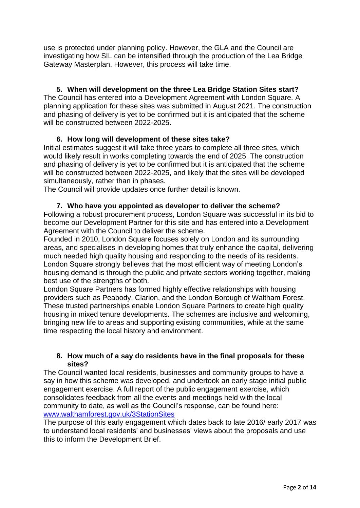use is protected under planning policy. However, the GLA and the Council are investigating how SIL can be intensified through the production of the Lea Bridge Gateway Masterplan. However, this process will take time.

## **5. When will development on the three Lea Bridge Station Sites start?**

The Council has entered into a Development Agreement with London Square. A planning application for these sites was submitted in August 2021. The construction and phasing of delivery is yet to be confirmed but it is anticipated that the scheme will be constructed between 2022-2025.

## **6. How long will development of these sites take?**

Initial estimates suggest it will take three years to complete all three sites, which would likely result in works completing towards the end of 2025. The construction and phasing of delivery is yet to be confirmed but it is anticipated that the scheme will be constructed between 2022-2025, and likely that the sites will be developed simultaneously, rather than in phases.

The Council will provide updates once further detail is known.

### **7. Who have you appointed as developer to deliver the scheme?**

Following a robust procurement process, London Square was successful in its bid to become our Development Partner for this site and has entered into a Development Agreement with the Council to deliver the scheme.

Founded in 2010, London Square focuses solely on London and its surrounding areas, and specialises in developing homes that truly enhance the capital, delivering much needed high quality housing and responding to the needs of its residents. London Square strongly believes that the most efficient way of meeting London's housing demand is through the public and private sectors working together, making best use of the strengths of both.

London Square Partners has formed highly effective relationships with housing providers such as Peabody, Clarion, and the London Borough of Waltham Forest. These trusted partnerships enable London Square Partners to create high quality housing in mixed tenure developments. The schemes are inclusive and welcoming, bringing new life to areas and supporting existing communities, while at the same time respecting the local history and environment.

### **8. How much of a say do residents have in the final proposals for these sites?**

The Council wanted local residents, businesses and community groups to have a say in how this scheme was developed, and undertook an early stage initial public engagement exercise. A full report of the public engagement exercise, which consolidates feedback from all the events and meetings held with the local community to date, as well as the Council's response, can be found here: [www.walthamforest.gov.uk/3StationSites](http://www.walthamforest.gov.uk/3StationSites)

The purpose of this early engagement which dates back to late 2016/ early 2017 was to understand local residents' and businesses' views about the proposals and use this to inform the Development Brief.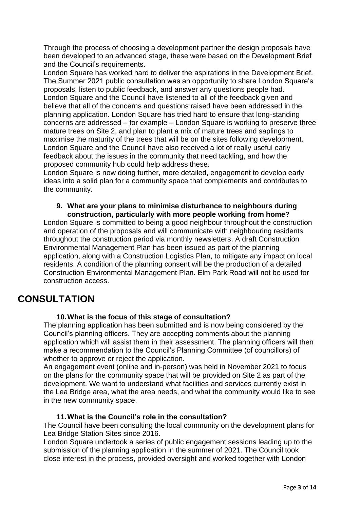Through the process of choosing a development partner the design proposals have been developed to an advanced stage, these were based on the Development Brief and the Council's requirements.

London Square has worked hard to deliver the aspirations in the Development Brief. The Summer 2021 public consultation was an opportunity to share London Square's proposals, listen to public feedback, and answer any questions people had. London Square and the Council have listened to all of the feedback given and believe that all of the concerns and questions raised have been addressed in the planning application. London Square has tried hard to ensure that long-standing concerns are addressed – for example – London Square is working to preserve three mature trees on Site 2, and plan to plant a mix of mature trees and saplings to maximise the maturity of the trees that will be on the sites following development. London Square and the Council have also received a lot of really useful early feedback about the issues in the community that need tackling, and how the proposed community hub could help address these.

London Square is now doing further, more detailed, engagement to develop early ideas into a solid plan for a community space that complements and contributes to the community.

#### **9. What are your plans to minimise disturbance to neighbours during construction, particularly with more people working from home?**

London Square is committed to being a good neighbour throughout the construction and operation of the proposals and will communicate with neighbouring residents throughout the construction period via monthly newsletters. A draft Construction Environmental Management Plan has been issued as part of the planning application, along with a Construction Logistics Plan, to mitigate any impact on local residents. A condition of the planning consent will be the production of a detailed Construction Environmental Management Plan. Elm Park Road will not be used for construction access.

# **CONSULTATION**

### **10.What is the focus of this stage of consultation?**

The planning application has been submitted and is now being considered by the Council's planning officers. They are accepting comments about the planning application which will assist them in their assessment. The planning officers will then make a recommendation to the Council's Planning Committee (of councillors) of whether to approve or reject the application.

An engagement event (online and in-person) was held in November 2021 to focus on the plans for the community space that will be provided on Site 2 as part of the development. We want to understand what facilities and services currently exist in the Lea Bridge area, what the area needs, and what the community would like to see in the new community space.

### **11.What is the Council's role in the consultation?**

The Council have been consulting the local community on the development plans for Lea Bridge Station Sites since 2016.

London Square undertook a series of public engagement sessions leading up to the submission of the planning application in the summer of 2021. The Council took close interest in the process, provided oversight and worked together with London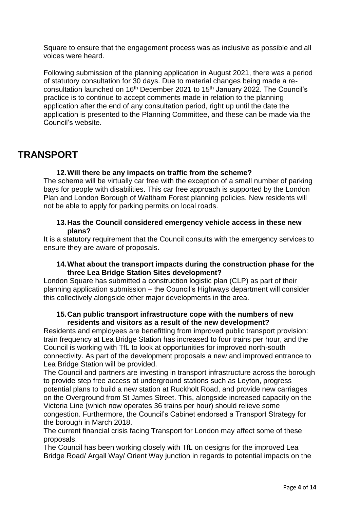Square to ensure that the engagement process was as inclusive as possible and all voices were heard.

Following submission of the planning application in August 2021, there was a period of statutory consultation for 30 days. Due to material changes being made a reconsultation launched on 16th December 2021 to 15th January 2022. The Council's practice is to continue to accept comments made in relation to the planning application after the end of any consultation period, right up until the date the application is presented to the Planning Committee, and these can be made via the Council's website.

# **TRANSPORT**

## **12.Will there be any impacts on traffic from the scheme?**

The scheme will be virtually car free with the exception of a small number of parking bays for people with disabilities. This car free approach is supported by the London Plan and London Borough of Waltham Forest planning policies. New residents will not be able to apply for parking permits on local roads.

### **13.Has the Council considered emergency vehicle access in these new plans?**

It is a statutory requirement that the Council consults with the emergency services to ensure they are aware of proposals.

### **14.What about the transport impacts during the construction phase for the three Lea Bridge Station Sites development?**

London Square has submitted a construction logistic plan (CLP) as part of their planning application submission – the Council's Highways department will consider this collectively alongside other major developments in the area.

### **15.Can public transport infrastructure cope with the numbers of new residents and visitors as a result of the new development?**

Residents and employees are benefitting from improved public transport provision: train frequency at Lea Bridge Station has increased to four trains per hour, and the Council is working with TfL to look at opportunities for improved north-south connectivity. As part of the development proposals a new and improved entrance to Lea Bridge Station will be provided.

The Council and partners are investing in transport infrastructure across the borough to provide step free access at underground stations such as Leyton, progress potential plans to build a new station at Ruckholt Road, and provide new carriages on the Overground from St James Street. This, alongside increased capacity on the Victoria Line (which now operates 36 trains per hour) should relieve some congestion. Furthermore, the Council's Cabinet endorsed a Transport Strategy for the borough in March 2018.

The current financial crisis facing Transport for London may affect some of these proposals.

The Council has been working closely with TfL on designs for the improved Lea Bridge Road/ Argall Way/ Orient Way junction in regards to potential impacts on the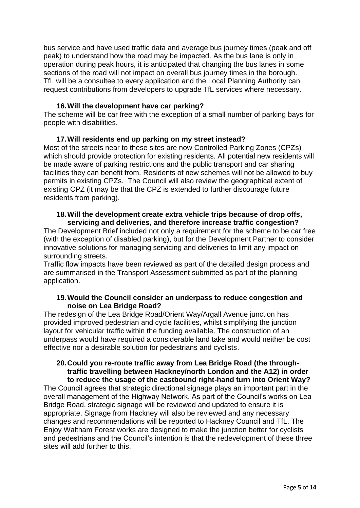bus service and have used traffic data and average bus journey times (peak and off peak) to understand how the road may be impacted. As the bus lane is only in operation during peak hours, it is anticipated that changing the bus lanes in some sections of the road will not impact on overall bus journey times in the borough. TfL will be a consultee to every application and the Local Planning Authority can request contributions from developers to upgrade TfL services where necessary.

### **16.Will the development have car parking?**

The scheme will be car free with the exception of a small number of parking bays for people with disabilities.

### **17.Will residents end up parking on my street instead?**

Most of the streets near to these sites are now Controlled Parking Zones (CPZs) which should provide protection for existing residents. All potential new residents will be made aware of parking restrictions and the public transport and car sharing facilities they can benefit from. Residents of new schemes will not be allowed to buy permits in existing CPZs. The Council will also review the geographical extent of existing CPZ (it may be that the CPZ is extended to further discourage future residents from parking).

### **18.Will the development create extra vehicle trips because of drop offs, servicing and deliveries, and therefore increase traffic congestion?**

The Development Brief included not only a requirement for the scheme to be car free (with the exception of disabled parking), but for the Development Partner to consider innovative solutions for managing servicing and deliveries to limit any impact on surrounding streets.

Traffic flow impacts have been reviewed as part of the detailed design process and are summarised in the Transport Assessment submitted as part of the planning application.

### **19.Would the Council consider an underpass to reduce congestion and noise on Lea Bridge Road?**

The redesign of the Lea Bridge Road/Orient Way/Argall Avenue junction has provided improved pedestrian and cycle facilities, whilst simplifying the junction layout for vehicular traffic within the funding available. The construction of an underpass would have required a considerable land take and would neither be cost effective nor a desirable solution for pedestrians and cyclists.

### **20.Could you re-route traffic away from Lea Bridge Road (the throughtraffic travelling between Hackney/north London and the A12) in order to reduce the usage of the eastbound right-hand turn into Orient Way?**

The Council agrees that strategic directional signage plays an important part in the overall management of the Highway Network. As part of the Council's works on Lea Bridge Road, strategic signage will be reviewed and updated to ensure it is appropriate. Signage from Hackney will also be reviewed and any necessary changes and recommendations will be reported to Hackney Council and TfL. The Enjoy Waltham Forest works are designed to make the junction better for cyclists and pedestrians and the Council's intention is that the redevelopment of these three sites will add further to this.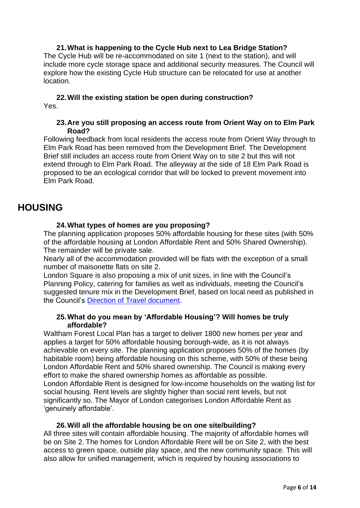**21.What is happening to the Cycle Hub next to Lea Bridge Station?** The Cycle Hub will be re-accommodated on site 1 (next to the station), and will include more cycle storage space and additional security measures. The Council will explore how the existing Cycle Hub structure can be relocated for use at another location.

### **22.Will the existing station be open during construction?** Yes.

### **23.Are you still proposing an access route from Orient Way on to Elm Park Road?**

Following feedback from local residents the access route from Orient Way through to Elm Park Road has been removed from the Development Brief. The Development Brief still includes an access route from Orient Way on to site 2 but this will not extend through to Elm Park Road. The alleyway at the side of 18 Elm Park Road is proposed to be an ecological corridor that will be locked to prevent movement into Elm Park Road.

# **HOUSING**

### **24.What types of homes are you proposing?**

The planning application proposes 50% affordable housing for these sites (with 50% of the affordable housing at London Affordable Rent and 50% Shared Ownership). The remainder will be private sale.

Nearly all of the accommodation provided will be flats with the exception of a small number of maisonette flats on site 2.

London Square is also proposing a mix of unit sizes, in line with the Council's Planning Policy, catering for families as well as individuals, meeting the Council's suggested tenure mix in the Development Brief, based on local need as published in the Council's [Direction of Travel document.](https://walthamforest.gov.uk/content/local-plan)

### **25.What do you mean by 'Affordable Housing'? Will homes be truly affordable?**

Waltham Forest Local Plan has a target to deliver 1800 new homes per year and applies a target for 50% affordable housing borough-wide, as it is not always achievable on every site. The planning application proposes 50% of the homes (by habitable room) being affordable housing on this scheme, with 50% of these being London Affordable Rent and 50% shared ownership. The Council is making every effort to make the shared ownership homes as affordable as possible. London Affordable Rent is designed for low-income households on the waiting list for social housing. Rent levels are slightly higher than social rent levels, but not significantly so. The Mayor of London categorises London Affordable Rent as 'genuinely affordable'.

### **26.Will all the affordable housing be on one site/building?**

All three sites will contain affordable housing. The majority of affordable homes will be on Site 2. The homes for London Affordable Rent will be on Site 2, with the best access to green space, outside play space, and the new community space. This will also allow for unified management, which is required by housing associations to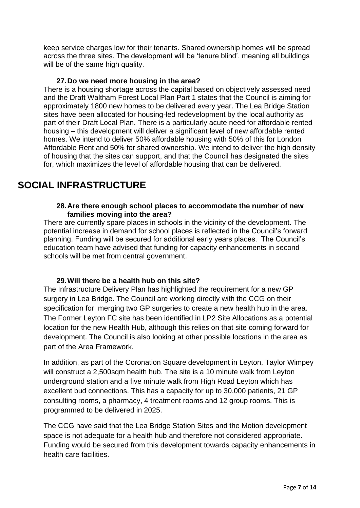keep service charges low for their tenants. Shared ownership homes will be spread across the three sites. The development will be 'tenure blind', meaning all buildings will be of the same high quality.

### **27.Do we need more housing in the area?**

There is a housing shortage across the capital based on objectively assessed need and the Draft Waltham Forest Local Plan Part 1 states that the Council is aiming for approximately 1800 new homes to be delivered every year. The Lea Bridge Station sites have been allocated for housing-led redevelopment by the local authority as part of their Draft Local Plan. There is a particularly acute need for affordable rented housing – this development will deliver a significant level of new affordable rented homes. We intend to deliver 50% affordable housing with 50% of this for London Affordable Rent and 50% for shared ownership. We intend to deliver the high density of housing that the sites can support, and that the Council has designated the sites for, which maximizes the level of affordable housing that can be delivered.

# **SOCIAL INFRASTRUCTURE**

### **28.Are there enough school places to accommodate the number of new families moving into the area?**

There are currently spare places in schools in the vicinity of the development. The potential increase in demand for school places is reflected in the Council's forward planning. Funding will be secured for additional early years places. The Council's education team have advised that funding for capacity enhancements in second schools will be met from central government.

### **29.Will there be a health hub on this site?**

The Infrastructure Delivery Plan has highlighted the requirement for a new GP surgery in Lea Bridge. The Council are working directly with the CCG on their specification for merging two GP surgeries to create a new health hub in the area. The Former Leyton FC site has been identified in LP2 Site Allocations as a potential location for the new Health Hub, although this relies on that site coming forward for development. The Council is also looking at other possible locations in the area as part of the Area Framework.

In addition, as part of the Coronation Square development in Leyton, Taylor Wimpey will construct a 2,500sqm health hub. The site is a 10 minute walk from Leyton underground station and a five minute walk from High Road Leyton which has excellent bud connections. This has a capacity for up to 30,000 patients, 21 GP consulting rooms, a pharmacy, 4 treatment rooms and 12 group rooms. This is programmed to be delivered in 2025.

The CCG have said that the Lea Bridge Station Sites and the Motion development space is not adequate for a health hub and therefore not considered appropriate. Funding would be secured from this development towards capacity enhancements in health care facilities.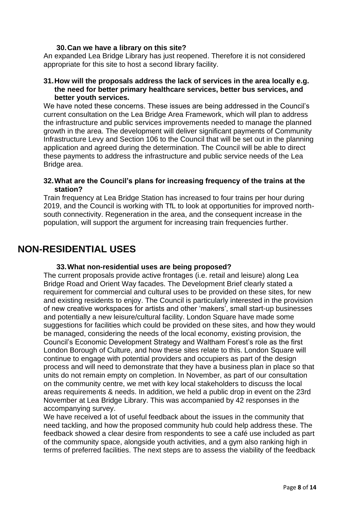### **30.Can we have a library on this site?**

An expanded Lea Bridge Library has just reopened. Therefore it is not considered appropriate for this site to host a second library facility.

### **31.How will the proposals address the lack of services in the area locally e.g. the need for better primary healthcare services, better bus services, and better youth services.**

We have noted these concerns. These issues are being addressed in the Council's current consultation on the Lea Bridge Area Framework, which will plan to address the infrastructure and public services improvements needed to manage the planned growth in the area. The development will deliver significant payments of Community Infrastructure Levy and Section 106 to the Council that will be set out in the planning application and agreed during the determination. The Council will be able to direct these payments to address the infrastructure and public service needs of the Lea Bridge area.

### **32.What are the Council's plans for increasing frequency of the trains at the station?**

Train frequency at Lea Bridge Station has increased to four trains per hour during 2019, and the Council is working with TfL to look at opportunities for improved northsouth connectivity. Regeneration in the area, and the consequent increase in the population, will support the argument for increasing train frequencies further.

# **NON-RESIDENTIAL USES**

### **33.What non-residential uses are being proposed?**

The current proposals provide active frontages (i.e. retail and leisure) along Lea Bridge Road and Orient Way facades. The Development Brief clearly stated a requirement for commercial and cultural uses to be provided on these sites, for new and existing residents to enjoy. The Council is particularly interested in the provision of new creative workspaces for artists and other 'makers', small start-up businesses and potentially a new leisure/cultural facility. London Square have made some suggestions for facilities which could be provided on these sites, and how they would be managed, considering the needs of the local economy, existing provision, the Council's Economic Development Strategy and Waltham Forest's role as the first London Borough of Culture, and how these sites relate to this. London Square will continue to engage with potential providers and occupiers as part of the design process and will need to demonstrate that they have a business plan in place so that units do not remain empty on completion. In November, as part of our consultation on the community centre, we met with key local stakeholders to discuss the local areas requirements & needs. In addition, we held a public drop in event on the 23rd November at Lea Bridge Library. This was accompanied by 42 responses in the accompanying survey.

We have received a lot of useful feedback about the issues in the community that need tackling, and how the proposed community hub could help address these. The feedback showed a clear desire from respondents to see a café use included as part of the community space, alongside youth activities, and a gym also ranking high in terms of preferred facilities. The next steps are to assess the viability of the feedback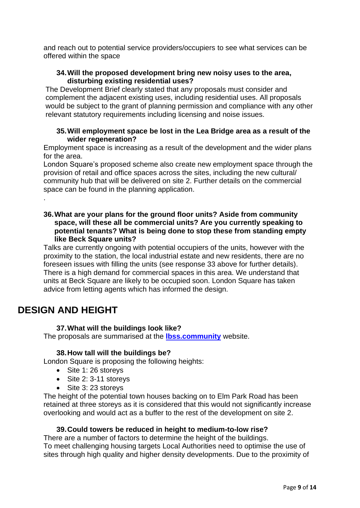and reach out to potential service providers/occupiers to see what services can be offered within the space

## **34.Will the proposed development bring new noisy uses to the area, disturbing existing residential uses?**

The Development Brief clearly stated that any proposals must consider and complement the adjacent existing uses, including residential uses. All proposals would be subject to the grant of planning permission and compliance with any other relevant statutory requirements including licensing and noise issues.

### **35.Will employment space be lost in the Lea Bridge area as a result of the wider regeneration?**

Employment space is increasing as a result of the development and the wider plans for the area.

London Square's proposed scheme also create new employment space through the provision of retail and office spaces across the sites, including the new cultural/ community hub that will be delivered on site 2. Further details on the commercial space can be found in the planning application.

### **36.What are your plans for the ground floor units? Aside from community space, will these all be commercial units? Are you currently speaking to potential tenants? What is being done to stop these from standing empty like Beck Square units?**

Talks are currently ongoing with potential occupiers of the units, however with the proximity to the station, the local industrial estate and new residents, there are no foreseen issues with filling the units (see response 33 above for further details). There is a high demand for commercial spaces in this area. We understand that units at Beck Square are likely to be occupied soon. London Square has taken advice from letting agents which has informed the design.

# **DESIGN AND HEIGHT**

.

## **37.What will the buildings look like?**

The proposals are summarised at the **[lbss.community](https://www.lbss.community/news/a1417963-ba2f-45ff-aef3-cba0ce1b43db)** website.

### **38.How tall will the buildings be?**

London Square is proposing the following heights:

- Site 1: 26 storeys
- Site 2: 3-11 storeys
- Site 3: 23 storeys

The height of the potential town houses backing on to Elm Park Road has been retained at three storeys as it is considered that this would not significantly increase overlooking and would act as a buffer to the rest of the development on site 2.

## **39.Could towers be reduced in height to medium-to-low rise?**

There are a number of factors to determine the height of the buildings. To meet challenging housing targets Local Authorities need to optimise the use of sites through high quality and higher density developments. Due to the proximity of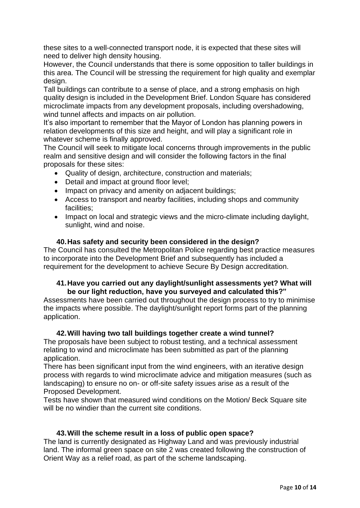these sites to a well-connected transport node, it is expected that these sites will need to deliver high density housing.

However, the Council understands that there is some opposition to taller buildings in this area. The Council will be stressing the requirement for high quality and exemplar design.

Tall buildings can contribute to a sense of place, and a strong emphasis on high quality design is included in the Development Brief. London Square has considered microclimate impacts from any development proposals, including overshadowing, wind tunnel affects and impacts on air pollution.

It's also important to remember that the Mayor of London has planning powers in relation developments of this size and height, and will play a significant role in whatever scheme is finally approved.

The Council will seek to mitigate local concerns through improvements in the public realm and sensitive design and will consider the following factors in the final proposals for these sites:

- Quality of design, architecture, construction and materials;
- Detail and impact at ground floor level;
- Impact on privacy and amenity on adiacent buildings:
- Access to transport and nearby facilities, including shops and community facilities;
- Impact on local and strategic views and the micro-climate including daylight, sunlight, wind and noise.

### **40.Has safety and security been considered in the design?**

The Council has consulted the Metropolitan Police regarding best practice measures to incorporate into the Development Brief and subsequently has included a requirement for the development to achieve Secure By Design accreditation.

### **41.Have you carried out any daylight/sunlight assessments yet? What will be our light reduction, have you surveyed and calculated this?"**

Assessments have been carried out throughout the design process to try to minimise the impacts where possible. The daylight/sunlight report forms part of the planning application.

### **42.Will having two tall buildings together create a wind tunnel?**

The proposals have been subject to robust testing, and a technical assessment relating to wind and microclimate has been submitted as part of the planning application.

There has been significant input from the wind engineers, with an iterative design process with regards to wind microclimate advice and mitigation measures (such as landscaping) to ensure no on- or off-site safety issues arise as a result of the Proposed Development.

Tests have shown that measured wind conditions on the Motion/ Beck Square site will be no windier than the current site conditions.

#### **43.Will the scheme result in a loss of public open space?**

The land is currently designated as Highway Land and was previously industrial land. The informal green space on site 2 was created following the construction of Orient Way as a relief road, as part of the scheme landscaping.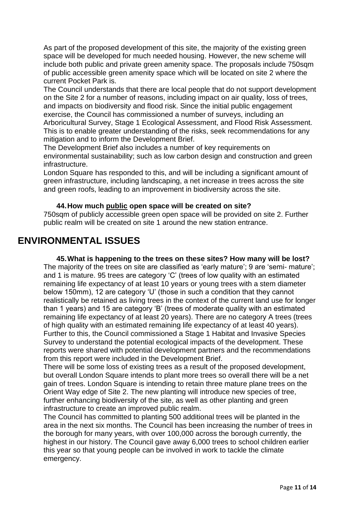As part of the proposed development of this site, the majority of the existing green space will be developed for much needed housing. However, the new scheme will include both public and private green amenity space. The proposals include 750sqm of public accessible green amenity space which will be located on site 2 where the current Pocket Park is.

The Council understands that there are local people that do not support development on the Site 2 for a number of reasons, including impact on air quality, loss of trees, and impacts on biodiversity and flood risk. Since the initial public engagement exercise, the Council has commissioned a number of surveys, including an Arboricultural Survey, Stage 1 Ecological Assessment, and Flood Risk Assessment. This is to enable greater understanding of the risks, seek recommendations for any mitigation and to inform the Development Brief.

The Development Brief also includes a number of key requirements on environmental sustainability; such as low carbon design and construction and green infrastructure.

London Square has responded to this, and will be including a significant amount of green infrastructure, including landscaping, a net increase in trees across the site and green roofs, leading to an improvement in biodiversity across the site.

### **44.How much public open space will be created on site?**

750sqm of publicly accessible green open space will be provided on site 2. Further public realm will be created on site 1 around the new station entrance.

# **ENVIRONMENTAL ISSUES**

**45.What is happening to the trees on these sites? How many will be lost?** The majority of the trees on site are classified as 'early mature'; 9 are 'semi- mature'; and 1 is mature. 95 trees are category 'C' (trees of low quality with an estimated remaining life expectancy of at least 10 years or young trees with a stem diameter below 150mm), 12 are category 'U' (those in such a condition that they cannot realistically be retained as living trees in the context of the current land use for longer than 1 years) and 15 are category 'B' (trees of moderate quality with an estimated remaining life expectancy of at least 20 years). There are no category A trees (trees of high quality with an estimated remaining life expectancy of at least 40 years). Further to this, the Council commissioned a Stage 1 Habitat and Invasive Species Survey to understand the potential ecological impacts of the development. These reports were shared with potential development partners and the recommendations from this report were included in the Development Brief.

There will be some loss of existing trees as a result of the proposed development, but overall London Square intends to plant more trees so overall there will be a net gain of trees. London Square is intending to retain three mature plane trees on the Orient Way edge of Site 2. The new planting will introduce new species of tree, further enhancing biodiversity of the site, as well as other planting and green infrastructure to create an improved public realm.

The Council has committed to planting 500 additional trees will be planted in the area in the next six months. The Council has been increasing the number of trees in the borough for many years, with over 100,000 across the borough currently, the highest in our history. The Council gave away 6,000 trees to school children earlier this year so that young people can be involved in work to tackle the climate emergency.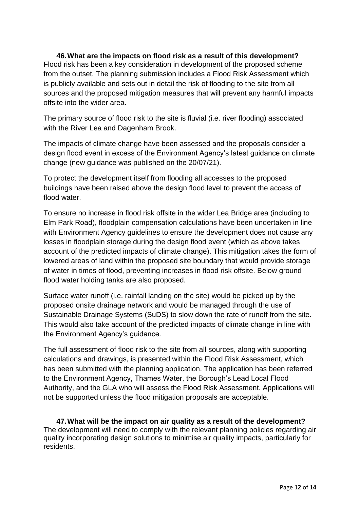**46.What are the impacts on flood risk as a result of this development?** Flood risk has been a key consideration in development of the proposed scheme from the outset. The planning submission includes a Flood Risk Assessment which is publicly available and sets out in detail the risk of flooding to the site from all sources and the proposed mitigation measures that will prevent any harmful impacts offsite into the wider area.

The primary source of flood risk to the site is fluvial (i.e. river flooding) associated with the River Lea and Dagenham Brook.

The impacts of climate change have been assessed and the proposals consider a design flood event in excess of the Environment Agency's latest guidance on climate change (new guidance was published on the 20/07/21).

To protect the development itself from flooding all accesses to the proposed buildings have been raised above the design flood level to prevent the access of flood water.

To ensure no increase in flood risk offsite in the wider Lea Bridge area (including to Elm Park Road), floodplain compensation calculations have been undertaken in line with Environment Agency guidelines to ensure the development does not cause any losses in floodplain storage during the design flood event (which as above takes account of the predicted impacts of climate change). This mitigation takes the form of lowered areas of land within the proposed site boundary that would provide storage of water in times of flood, preventing increases in flood risk offsite. Below ground flood water holding tanks are also proposed.

Surface water runoff (i.e. rainfall landing on the site) would be picked up by the proposed onsite drainage network and would be managed through the use of Sustainable Drainage Systems (SuDS) to slow down the rate of runoff from the site. This would also take account of the predicted impacts of climate change in line with the Environment Agency's guidance.

The full assessment of flood risk to the site from all sources, along with supporting calculations and drawings, is presented within the Flood Risk Assessment, which has been submitted with the planning application. The application has been referred to the Environment Agency, Thames Water, the Borough's Lead Local Flood Authority, and the GLA who will assess the Flood Risk Assessment. Applications will not be supported unless the flood mitigation proposals are acceptable.

**47.What will be the impact on air quality as a result of the development?** The development will need to comply with the relevant planning policies regarding air quality incorporating design solutions to minimise air quality impacts, particularly for residents.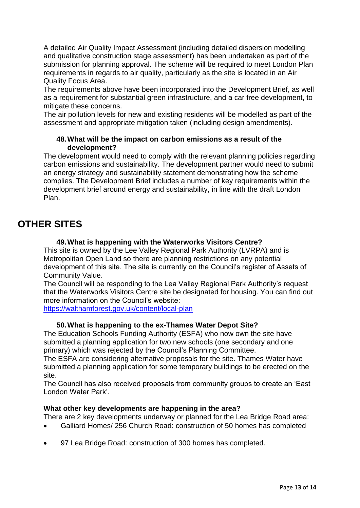A detailed Air Quality Impact Assessment (including detailed dispersion modelling and qualitative construction stage assessment) has been undertaken as part of the submission for planning approval. The scheme will be required to meet London Plan requirements in regards to air quality, particularly as the site is located in an Air Quality Focus Area.

The requirements above have been incorporated into the Development Brief, as well as a requirement for substantial green infrastructure, and a car free development, to mitigate these concerns.

The air pollution levels for new and existing residents will be modelled as part of the assessment and appropriate mitigation taken (including design amendments).

### **48.What will be the impact on carbon emissions as a result of the development?**

The development would need to comply with the relevant planning policies regarding carbon emissions and sustainability. The development partner would need to submit an energy strategy and sustainability statement demonstrating how the scheme complies. The Development Brief includes a number of key requirements within the development brief around energy and sustainability, in line with the draft London Plan.

# **OTHER SITES**

### **49.What is happening with the Waterworks Visitors Centre?**

This site is owned by the Lee Valley Regional Park Authority (LVRPA) and is Metropolitan Open Land so there are planning restrictions on any potential development of this site. The site is currently on the Council's register of Assets of Community Value.

The Council will be responding to the Lea Valley Regional Park Authority's request that the Waterworks Visitors Centre site be designated for housing. You can find out more information on the Council's website:

<https://walthamforest.gov.uk/content/local-plan>

#### **50.What is happening to the ex-Thames Water Depot Site?**

The Education Schools Funding Authority (ESFA) who now own the site have submitted a planning application for two new schools (one secondary and one primary) which was rejected by the Council's Planning Committee.

The ESFA are considering alternative proposals for the site. Thames Water have submitted a planning application for some temporary buildings to be erected on the site.

The Council has also received proposals from community groups to create an 'East London Water Park'.

#### **What other key developments are happening in the area?**

There are 2 key developments underway or planned for the Lea Bridge Road area:

- Galliard Homes/ 256 Church Road: construction of 50 homes has completed
- 97 Lea Bridge Road: construction of 300 homes has completed.